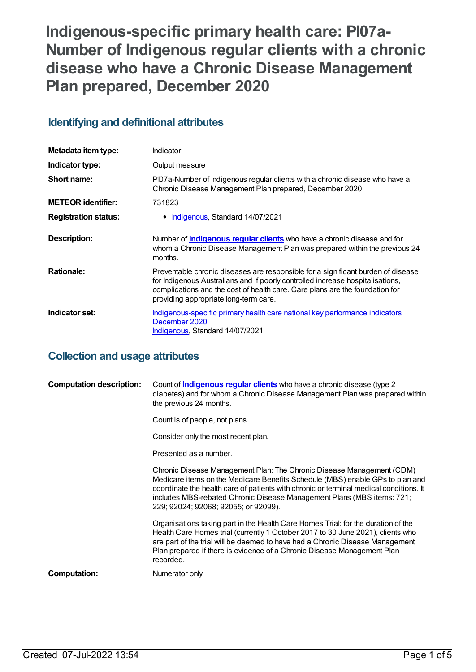**Indigenous-specific primary health care: PI07a-Number of Indigenous regular clients with a chronic disease who have a Chronic Disease Management Plan prepared, December 2020**

# **Identifying and definitional attributes**

| Metadata item type:         | Indicator                                                                                                                                                                                                                                                                                   |
|-----------------------------|---------------------------------------------------------------------------------------------------------------------------------------------------------------------------------------------------------------------------------------------------------------------------------------------|
| Indicator type:             | Output measure                                                                                                                                                                                                                                                                              |
| Short name:                 | PI07a-Number of Indigenous regular clients with a chronic disease who have a<br>Chronic Disease Management Plan prepared, December 2020                                                                                                                                                     |
| <b>METEOR identifier:</b>   | 731823                                                                                                                                                                                                                                                                                      |
| <b>Registration status:</b> | <b>Indigenous, Standard 14/07/2021</b><br>٠                                                                                                                                                                                                                                                 |
| Description:                | Number of <i>Indigenous regular clients</i> who have a chronic disease and for<br>whom a Chronic Disease Management Plan was prepared within the previous 24<br>months.                                                                                                                     |
| <b>Rationale:</b>           | Preventable chronic diseases are responsible for a significant burden of disease<br>for Indigenous Australians and if poorly controlled increase hospitalisations,<br>complications and the cost of health care. Care plans are the foundation for<br>providing appropriate long-term care. |
| Indicator set:              | Indigenous-specific primary health care national key performance indicators<br>December 2020<br>Indigenous, Standard 14/07/2021                                                                                                                                                             |

# **Collection and usage attributes**

| <b>Computation description:</b> | Count of <b>Indigenous regular clients</b> who have a chronic disease (type 2<br>diabetes) and for whom a Chronic Disease Management Plan was prepared within<br>the previous 24 months.                                                                                                                                                                           |
|---------------------------------|--------------------------------------------------------------------------------------------------------------------------------------------------------------------------------------------------------------------------------------------------------------------------------------------------------------------------------------------------------------------|
|                                 | Count is of people, not plans.                                                                                                                                                                                                                                                                                                                                     |
|                                 | Consider only the most recent plan.                                                                                                                                                                                                                                                                                                                                |
|                                 | Presented as a number.                                                                                                                                                                                                                                                                                                                                             |
|                                 | Chronic Disease Management Plan: The Chronic Disease Management (CDM)<br>Medicare items on the Medicare Benefits Schedule (MBS) enable GPs to plan and<br>coordinate the health care of patients with chronic or terminal medical conditions. It<br>includes MBS-rebated Chronic Disease Management Plans (MBS items: 721;<br>229; 92024; 92068; 92055; or 92099). |
|                                 | Organisations taking part in the Health Care Homes Trial: for the duration of the<br>Health Care Homes trial (currently 1 October 2017 to 30 June 2021), clients who<br>are part of the trial will be deemed to have had a Chronic Disease Management<br>Plan prepared if there is evidence of a Chronic Disease Management Plan<br>recorded.                      |
| <b>Computation:</b>             | Numerator only                                                                                                                                                                                                                                                                                                                                                     |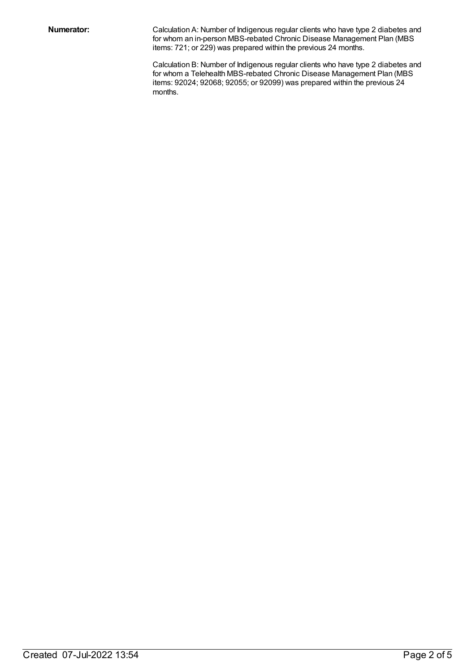**Numerator:** Calculation A: Number of Indigenous regular clients who have type 2 diabetes and for whom an in-person MBS-rebated Chronic Disease Management Plan (MBS items: 721; or 229) was prepared within the previous 24 months.

> Calculation B: Number of Indigenous regular clients who have type 2 diabetes and for whom a Telehealth MBS-rebated Chronic Disease Management Plan (MBS items: 92024; 92068; 92055; or 92099) was prepared within the previous 24 months.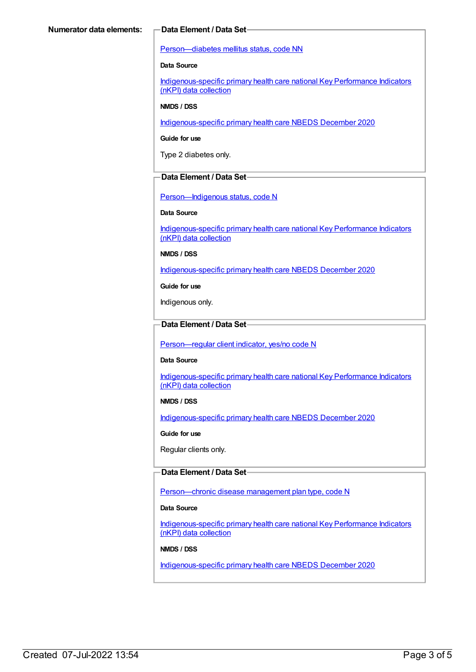#### [Person—diabetes](https://meteor.aihw.gov.au/content/270194) mellitus status, code NN

#### **Data Source**

[Indigenous-specific](https://meteor.aihw.gov.au/content/737914) primary health care national Key Performance Indicators (nKPI) data collection

#### **NMDS / DSS**

[Indigenous-specific](https://meteor.aihw.gov.au/content/738532) primary health care NBEDS December 2020

**Guide for use**

Type 2 diabetes only.

#### **Data Element / Data Set**

[Person—Indigenous](https://meteor.aihw.gov.au/content/602543) status, code N

#### **Data Source**

[Indigenous-specific](https://meteor.aihw.gov.au/content/737914) primary health care national Key Performance Indicators (nKPI) data collection

**NMDS / DSS**

[Indigenous-specific](https://meteor.aihw.gov.au/content/738532) primary health care NBEDS December 2020

**Guide for use**

Indigenous only.

### **Data Element / Data Set**

[Person—regular](https://meteor.aihw.gov.au/content/686291) client indicator, yes/no code N

#### **Data Source**

[Indigenous-specific](https://meteor.aihw.gov.au/content/737914) primary health care national Key Performance Indicators (nKPI) data collection

#### **NMDS / DSS**

[Indigenous-specific](https://meteor.aihw.gov.au/content/738532) primary health care NBEDS December 2020

**Guide for use**

Regular clients only.

#### **Data Element / Data Set**

Person-chronic disease management plan type, code N

#### **Data Source**

[Indigenous-specific](https://meteor.aihw.gov.au/content/737914) primary health care national Key Performance Indicators (nKPI) data collection

#### **NMDS / DSS**

[Indigenous-specific](https://meteor.aihw.gov.au/content/738532) primary health care NBEDS December 2020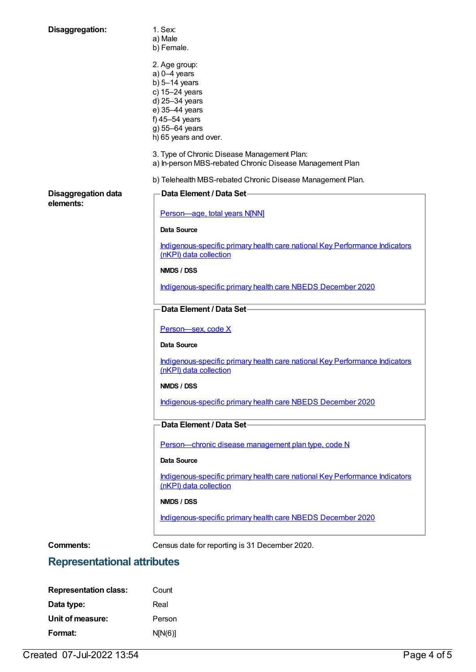| Disaggregation:                         | 1. Sex:<br>a) Male<br>b) Female.                                                                        |
|-----------------------------------------|---------------------------------------------------------------------------------------------------------|
|                                         | 2. Age group:<br>$a) 0-4$ years<br>b) $5-14$ years<br>c) 15-24 years                                    |
|                                         | d) 25-34 years<br>e) 35-44 years                                                                        |
|                                         | f) $45-54$ years                                                                                        |
|                                         | g) 55-64 years<br>h) 65 years and over.                                                                 |
|                                         | 3. Type of Chronic Disease Management Plan:<br>a) In-person MBS-rebated Chronic Disease Management Plan |
|                                         | b) Telehealth MBS-rebated Chronic Disease Management Plan.                                              |
| <b>Disaggregation data</b><br>elements: | Data Element / Data Set-                                                                                |
|                                         | Person-age, total years N[NN]                                                                           |
|                                         | Data Source                                                                                             |
|                                         | Indigenous-specific primary health care national Key Performance Indicators<br>(nKPI) data collection   |
|                                         | NMDS / DSS                                                                                              |
|                                         | Indigenous-specific primary health care NBEDS December 2020                                             |
|                                         | Data Element / Data Set-                                                                                |
|                                         | Person-sex, code X                                                                                      |
|                                         | <b>Data Source</b>                                                                                      |
|                                         | Indigenous-specific primary health care national Key Performance Indicators<br>(nKPI) data collection   |
|                                         | NMDS / DSS                                                                                              |
|                                         | Indigenous-specific primary health care NBEDS December 2020                                             |
|                                         | Data Element / Data Set-                                                                                |
|                                         | Person-chronic disease management plan type, code N                                                     |
|                                         | Data Source                                                                                             |
|                                         | Indigenous-specific primary health care national Key Performance Indicators<br>(nKPI) data collection   |
|                                         | NMDS / DSS                                                                                              |
|                                         | Indigenous-specific primary health care NBEDS December 2020                                             |
| <b>Comments:</b>                        | Census date for reporting is 31 December 2020.                                                          |

# **Representational attributes**

| <b>Representation class:</b> | Count   |
|------------------------------|---------|
| Data type:                   | Real    |
| Unit of measure:             | Person  |
| Format:                      | N[N(6)] |